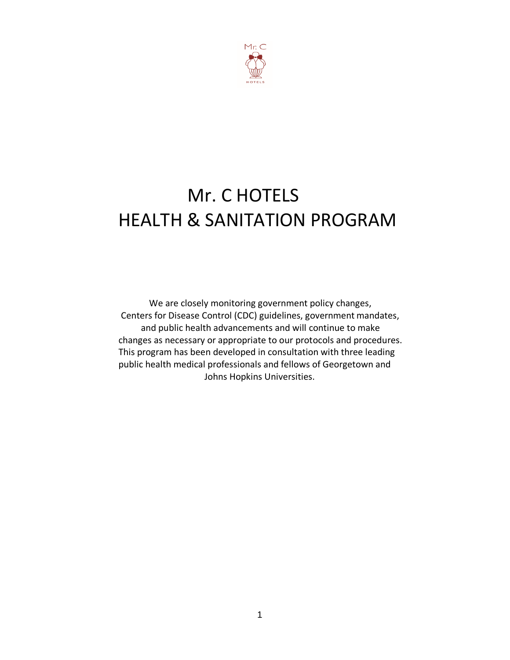

# Mr. C HOTELS HEALTH & SANITATION PROGRAM

We are closely monitoring government policy changes, Centers for Disease Control (CDC) guidelines, government mandates, and public health advancements and will continue to make changes as necessary or appropriate to our protocols and procedures. This program has been developed in consultation with three leading public health medical professionals and fellows of Georgetown and Johns Hopkins Universities.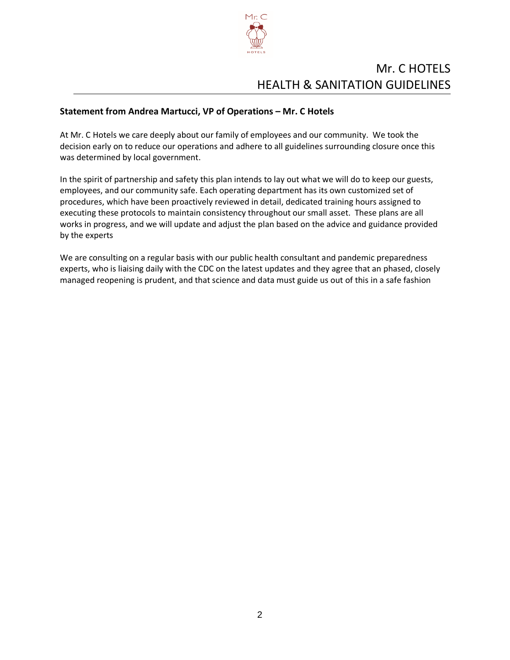

# Mr. C HOTELS HEALTH & SANITATION GUIDELINES

# **Statement from Andrea Martucci, VP of Operations – Mr. C Hotels**

At Mr. C Hotels we care deeply about our family of employees and our community. We took the decision early on to reduce our operations and adhere to all guidelines surrounding closure once this was determined by local government.

In the spirit of partnership and safety this plan intends to lay out what we will do to keep our guests, employees, and our community safe. Each operating department has its own customized set of procedures, which have been proactively reviewed in detail, dedicated training hours assigned to executing these protocols to maintain consistency throughout our small asset. These plans are all works in progress, and we will update and adjust the plan based on the advice and guidance provided by the experts

We are consulting on a regular basis with our public health consultant and pandemic preparedness experts, who is liaising daily with the CDC on the latest updates and they agree that an phased, closely managed reopening is prudent, and that science and data must guide us out of this in a safe fashion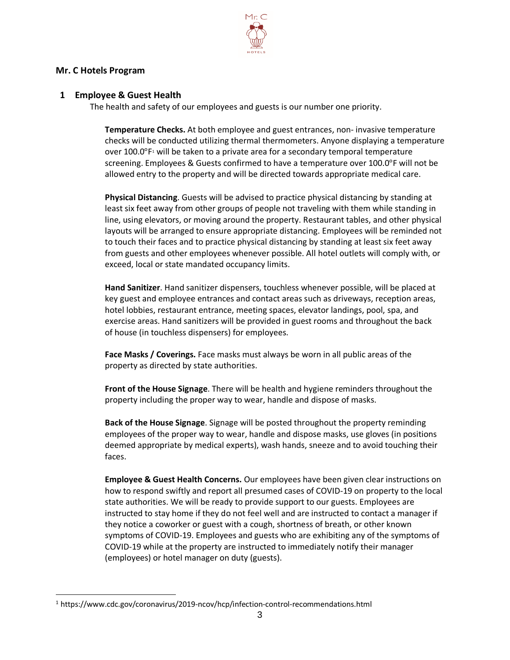

#### **Mr. C Hotels Program**

#### **1 Employee & Guest Health**

The health and safety of our employees and guests is our number one priority.

**Temperature Checks.** At both employee and guest entrances, non- invasive temperature checks will be conducted utilizing thermal thermometers. Anyone displaying a temperature over  $100.0^\circ$ F<sup>1</sup> will be taken to a private area for a secondary temporal temperature screening. Employees & Guests confirmed to have a temperature over 100.0°F will not be allowed entry to the property and will be directed towards appropriate medical care.

**Physical Distancing**. Guests will be advised to practice physical distancing by standing at least six feet away from other groups of people not traveling with them while standing in line, using elevators, or moving around the property. Restaurant tables, and other physical layouts will be arranged to ensure appropriate distancing. Employees will be reminded not to touch their faces and to practice physical distancing by standing at least six feet away from guests and other employees whenever possible. All hotel outlets will comply with, or exceed, local or state mandated occupancy limits.

**Hand Sanitizer**. Hand sanitizer dispensers, touchless whenever possible, will be placed at key guest and employee entrances and contact areas such as driveways, reception areas, hotel lobbies, restaurant entrance, meeting spaces, elevator landings, pool, spa, and exercise areas. Hand sanitizers will be provided in guest rooms and throughout the back of house (in touchless dispensers) for employees.

**Face Masks / Coverings.** Face masks must always be worn in all public areas of the property as directed by state authorities.

**Front of the House Signage**. There will be health and hygiene reminders throughout the property including the proper way to wear, handle and dispose of masks.

**Back of the House Signage**. Signage will be posted throughout the property reminding employees of the proper way to wear, handle and dispose masks, use gloves (in positions deemed appropriate by medical experts), wash hands, sneeze and to avoid touching their faces.

**Employee & Guest Health Concerns.** Our employees have been given clear instructions on how to respond swiftly and report all presumed cases of COVID-19 on property to the local state authorities. We will be ready to provide support to our guests. Employees are instructed to stay home if they do not feel well and are instructed to contact a manager if they notice a coworker or guest with a cough, shortness of breath, or other known symptoms of COVID-19. Employees and guests who are exhibiting any of the symptoms of COVID-19 while at the property are instructed to immediately notify their manager (employees) or hotel manager on duty (guests).

<sup>1</sup> https://www.cdc.gov/coronavirus/2019-ncov/hcp/infection-control-recommendations.html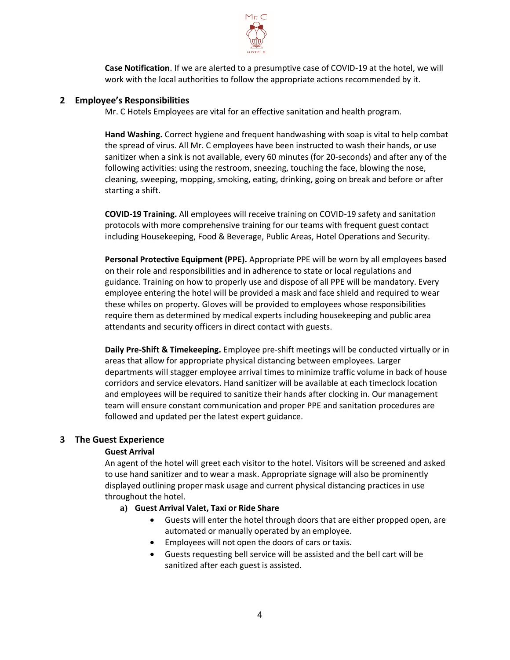

**Case Notification**. If we are alerted to a presumptive case of COVID-19 at the hotel, we will work with the local authorities to follow the appropriate actions recommended by it.

#### **2 Employee's Responsibilities**

Mr. C Hotels Employees are vital for an effective sanitation and health program.

**Hand Washing.** Correct hygiene and frequent handwashing with soap is vital to help combat the spread of virus. All Mr. C employees have been instructed to wash their hands, or use sanitizer when a sink is not available, every 60 minutes (for 20-seconds) and after any of the following activities: using the restroom, sneezing, touching the face, blowing the nose, cleaning, sweeping, mopping, smoking, eating, drinking, going on break and before or after starting a shift.

**COVID-19 Training.** All employees will receive training on COVID-19 safety and sanitation protocols with more comprehensive training for our teams with frequent guest contact including Housekeeping, Food & Beverage, Public Areas, Hotel Operations and Security.

**Personal Protective Equipment (PPE).** Appropriate PPE will be worn by all employees based on their role and responsibilities and in adherence to state or local regulations and guidance. Training on how to properly use and dispose of all PPE will be mandatory. Every employee entering the hotel will be provided a mask and face shield and required to wear these whiles on property. Gloves will be provided to employees whose responsibilities require them as determined by medical experts including housekeeping and public area attendants and security officers in direct contact with guests.

**Daily Pre-Shift & Timekeeping.** Employee pre-shift meetings will be conducted virtually or in areas that allow for appropriate physical distancing between employees. Larger departments will stagger employee arrival times to minimize traffic volume in back of house corridors and service elevators. Hand sanitizer will be available at each timeclock location and employees will be required to sanitize their hands after clocking in. Our management team will ensure constant communication and proper PPE and sanitation procedures are followed and updated per the latest expert guidance.

#### **3 The Guest Experience**

#### **Guest Arrival**

An agent of the hotel will greet each visitor to the hotel. Visitors will be screened and asked to use hand sanitizer and to wear a mask. Appropriate signage will also be prominently displayed outlining proper mask usage and current physical distancing practices in use throughout the hotel.

#### **a) Guest Arrival Valet, Taxi or Ride Share**

- Guests will enter the hotel through doors that are either propped open, are automated or manually operated by an employee.
- Employees will not open the doors of cars or taxis.
- Guests requesting bell service will be assisted and the bell cart will be sanitized after each guest is assisted.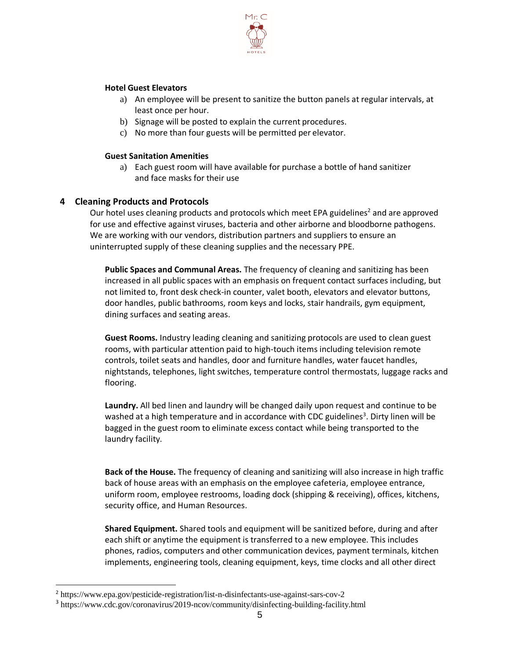

#### **Hotel Guest Elevators**

- a) An employee will be present to sanitize the button panels at regular intervals, at least once per hour.
- b) Signage will be posted to explain the current procedures.
- c) No more than four guests will be permitted per elevator.

#### **Guest Sanitation Amenities**

a) Each guest room will have available for purchase a bottle of hand sanitizer and face masks for their use

#### **4 Cleaning Products and Protocols**

Our hotel uses cleaning products and protocols which meet EPA guidelines<sup>2</sup> and are approved for use and effective against viruses, bacteria and other airborne and bloodborne pathogens. We are working with our vendors, distribution partners and suppliers to ensure an uninterrupted supply of these cleaning supplies and the necessary PPE.

**Public Spaces and Communal Areas.** The frequency of cleaning and sanitizing has been increased in all public spaces with an emphasis on frequent contact surfaces including, but not limited to, front desk check-in counter, valet booth, elevators and elevator buttons, door handles, public bathrooms, room keys and locks, stair handrails, gym equipment, dining surfaces and seating areas.

**Guest Rooms.** Industry leading cleaning and sanitizing protocols are used to clean guest rooms, with particular attention paid to high-touch items including television remote controls, toilet seats and handles, door and furniture handles, water faucet handles, nightstands, telephones, light switches, temperature control thermostats, luggage racks and flooring.

**Laundry.** All bed linen and laundry will be changed daily upon request and continue to be washed at a high temperature and in accordance with CDC guidelines<sup>3</sup>. Dirty linen will be bagged in the guest room to eliminate excess contact while being transported to the laundry facility.

**Back of the House.** The frequency of cleaning and sanitizing will also increase in high traffic back of house areas with an emphasis on the employee cafeteria, employee entrance, uniform room, employee restrooms, loading dock (shipping & receiving), offices, kitchens, security office, and Human Resources.

**Shared Equipment.** Shared tools and equipment will be sanitized before, during and after each shift or anytime the equipment is transferred to a new employee. This includes phones, radios, computers and other communication devices, payment terminals, kitchen implements, engineering tools, cleaning equipment, keys, time clocks and all other direct

<sup>2</sup> https:/[/www.epa.gov/pesticide-registration/list-n-disinfectants-use-against-sars-cov-2](http://www.epa.gov/pesticide-registration/list-n-disinfectants-use-against-sars-cov-2)

<sup>&</sup>lt;sup>3</sup> https:/[/www.cdc.gov/coronavirus/2019-ncov/community/disinfecting-building-facility.html](http://www.cdc.gov/coronavirus/2019-ncov/community/disinfecting-building-facility.html)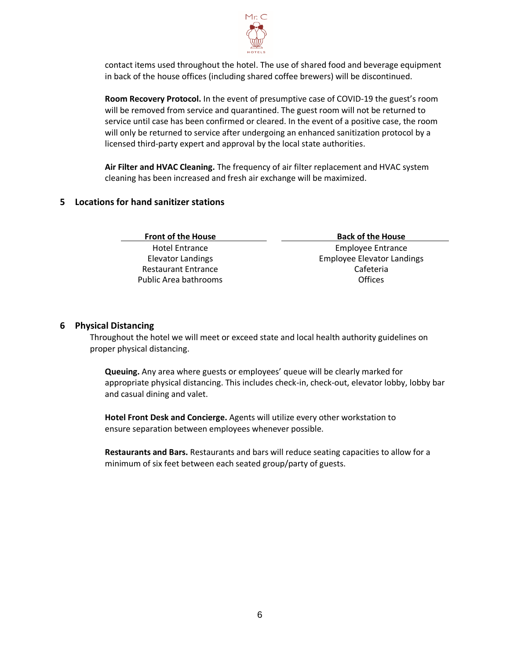

contact items used throughout the hotel. The use of shared food and beverage equipment in back of the house offices (including shared coffee brewers) will be discontinued.

**Room Recovery Protocol.** In the event of presumptive case of COVID-19 the guest's room will be removed from service and quarantined. The guest room will not be returned to service until case has been confirmed or cleared. In the event of a positive case, the room will only be returned to service after undergoing an enhanced sanitization protocol by a licensed third-party expert and approval by the local state authorities.

**Air Filter and HVAC Cleaning.** The frequency of air filter replacement and HVAC system cleaning has been increased and fresh air exchange will be maximized.

# **5 Locations for hand sanitizer stations**

| <b>Front of the House</b>  | <b>Back of the House</b>          |
|----------------------------|-----------------------------------|
| Hotel Entrance             | <b>Employee Entrance</b>          |
| <b>Elevator Landings</b>   | <b>Employee Elevator Landings</b> |
| <b>Restaurant Entrance</b> | Cafeteria                         |
| Public Area bathrooms      | Offices                           |

#### **6 Physical Distancing**

Throughout the hotel we will meet or exceed state and local health authority guidelines on proper physical distancing.

**Queuing.** Any area where guests or employees' queue will be clearly marked for appropriate physical distancing. This includes check-in, check-out, elevator lobby, lobby bar and casual dining and valet.

**Hotel Front Desk and Concierge.** Agents will utilize every other workstation to ensure separation between employees whenever possible.

**Restaurants and Bars.** Restaurants and bars will reduce seating capacities to allow for a minimum of six feet between each seated group/party of guests.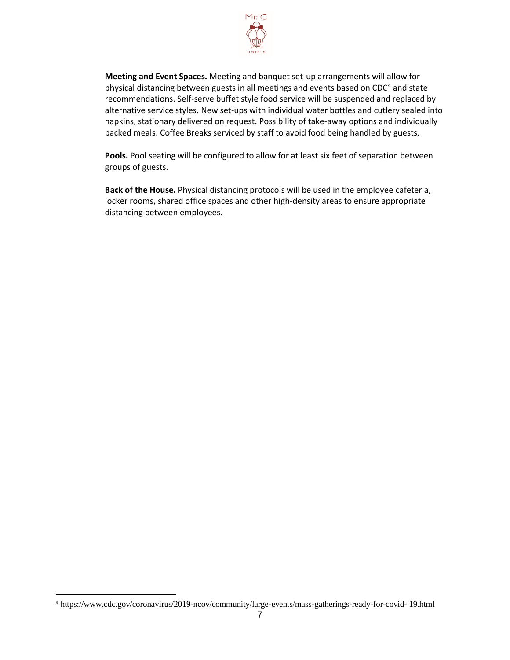

**Meeting and Event Spaces.** Meeting and banquet set-up arrangements will allow for physical distancing between guests in all meetings and events based on CDC<sup>4</sup> and state recommendations. Self-serve buffet style food service will be suspended and replaced by alternative service styles. New set-ups with individual water bottles and cutlery sealed into napkins, stationary delivered on request. Possibility of take-away options and individually packed meals. Coffee Breaks serviced by staff to avoid food being handled by guests.

Pools. Pool seating will be configured to allow for at least six feet of separation between groups of guests.

**Back of the House.** Physical distancing protocols will be used in the employee cafeteria, locker rooms, shared office spaces and other high-density areas to ensure appropriate distancing between employees.

<sup>4</sup> https:/[/www.cdc.gov/coronavirus/2019-ncov/community/large-events/mass-gatherings-ready-for-covid-](http://www.cdc.gov/coronavirus/2019-ncov/community/large-events/mass-gatherings-ready-for-covid-) 19.html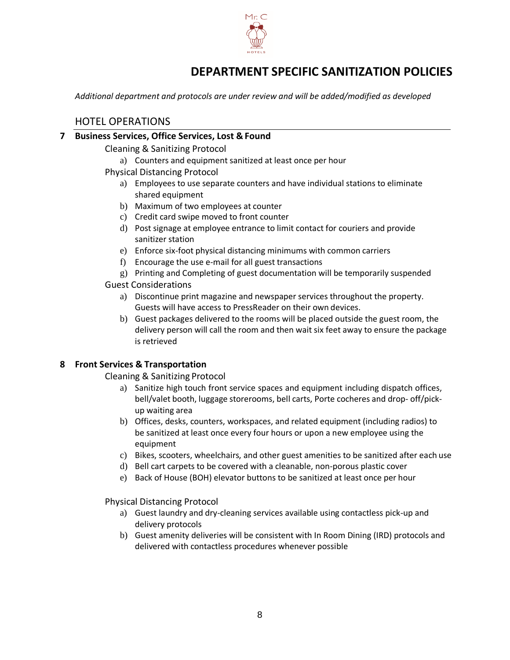

# **DEPARTMENT SPECIFIC SANITIZATION POLICIES**

*Additional department and protocols are under review and will be added/modified as developed*

# HOTEL OPERATIONS

# **7 Business Services, Office Services, Lost & Found**

Cleaning & Sanitizing Protocol

a) Counters and equipment sanitized at least once per hour

- Physical Distancing Protocol
	- a) Employees to use separate counters and have individual stations to eliminate shared equipment
	- b) Maximum of two employees at counter
	- c) Credit card swipe moved to front counter
	- d) Post signage at employee entrance to limit contact for couriers and provide sanitizer station
	- e) Enforce six-foot physical distancing minimums with common carriers
	- f) Encourage the use e-mail for all guest transactions
	- g) Printing and Completing of guest documentation will be temporarily suspended

#### Guest Considerations

- a) Discontinue print magazine and newspaper services throughout the property. Guests will have access to PressReader on their own devices.
- b) Guest packages delivered to the rooms will be placed outside the guest room, the delivery person will call the room and then wait six feet away to ensure the package is retrieved

# **8 Front Services & Transportation**

Cleaning & Sanitizing Protocol

- a) Sanitize high touch front service spaces and equipment including dispatch offices, bell/valet booth, luggage storerooms, bell carts, Porte cocheres and drop- off/pickup waiting area
- b) Offices, desks, counters, workspaces, and related equipment (including radios) to be sanitized at least once every four hours or upon a new employee using the equipment
- c) Bikes, scooters, wheelchairs, and other guest amenities to be sanitized after each use
- d) Bell cart carpets to be covered with a cleanable, non-porous plastic cover
- e) Back of House (BOH) elevator buttons to be sanitized at least once per hour

Physical Distancing Protocol

- a) Guest laundry and dry-cleaning services available using contactless pick-up and delivery protocols
- b) Guest amenity deliveries will be consistent with In Room Dining (IRD) protocols and delivered with contactless procedures whenever possible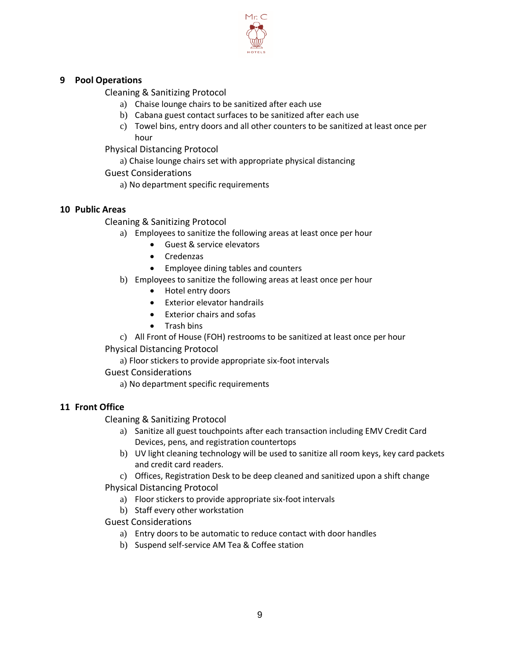

# **9 Pool Operations**

Cleaning & Sanitizing Protocol

- a) Chaise lounge chairs to be sanitized after each use
- b) Cabana guest contact surfaces to be sanitized after each use
- c) Towel bins, entry doors and all other counters to be sanitized at least once per hour

Physical Distancing Protocol

a) Chaise lounge chairs set with appropriate physical distancing

Guest Considerations

a) No department specific requirements

# **10 Public Areas**

Cleaning & Sanitizing Protocol

- a) Employees to sanitize the following areas at least once per hour
	- Guest & service elevators
	- Credenzas
	- Employee dining tables and counters
- b) Employees to sanitize the following areas at least once per hour
	- Hotel entry doors
	- Exterior elevator handrails
	- Exterior chairs and sofas
	- Trash bins
- c) All Front of House (FOH) restrooms to be sanitized at least once per hour

Physical Distancing Protocol

a) Floor stickers to provide appropriate six-foot intervals

Guest Considerations

a) No department specific requirements

# **11 Front Office**

Cleaning & Sanitizing Protocol

- a) Sanitize all guest touchpoints after each transaction including EMV Credit Card Devices, pens, and registration countertops
- b) UV light cleaning technology will be used to sanitize all room keys, key card packets and credit card readers.
- c) Offices, Registration Desk to be deep cleaned and sanitized upon a shift change

Physical Distancing Protocol

- a) Floor stickers to provide appropriate six-foot intervals
- b) Staff every other workstation

Guest Considerations

- a) Entry doors to be automatic to reduce contact with door handles
- b) Suspend self-service AM Tea & Coffee station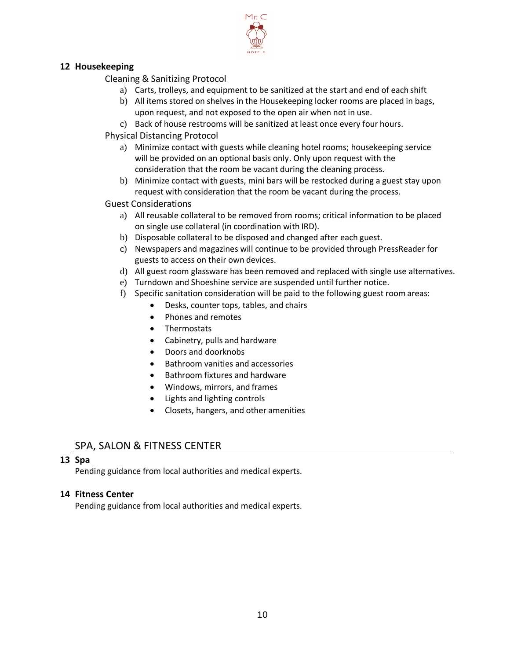

# **12 Housekeeping**

Cleaning & Sanitizing Protocol

- a) Carts, trolleys, and equipment to be sanitized at the start and end of each shift
- b) All items stored on shelves in the Housekeeping locker rooms are placed in bags, upon request, and not exposed to the open air when not in use.
- c) Back of house restrooms will be sanitized at least once every four hours.

Physical Distancing Protocol

- a) Minimize contact with guests while cleaning hotel rooms; housekeeping service will be provided on an optional basis only. Only upon request with the consideration that the room be vacant during the cleaning process.
- b) Minimize contact with guests, mini bars will be restocked during a guest stay upon request with consideration that the room be vacant during the process.

Guest Considerations

- a) All reusable collateral to be removed from rooms; critical information to be placed on single use collateral (in coordination with IRD).
- b) Disposable collateral to be disposed and changed after each guest.
- c) Newspapers and magazines will continue to be provided through PressReader for guests to access on their own devices.
- d) All guest room glassware has been removed and replaced with single use alternatives.
- e) Turndown and Shoeshine service are suspended until further notice.
- f) Specific sanitation consideration will be paid to the following guest room areas:
	- Desks, counter tops, tables, and chairs
	- Phones and remotes
	- Thermostats
	- Cabinetry, pulls and hardware
	- Doors and doorknobs
	- Bathroom vanities and accessories
	- Bathroom fixtures and hardware
	- Windows, mirrors, and frames
	- Lights and lighting controls
	- Closets, hangers, and other amenities

# SPA, SALON & FITNESS CENTER

#### **13 Spa**

Pending guidance from local authorities and medical experts.

# **14 Fitness Center**

Pending guidance from local authorities and medical experts.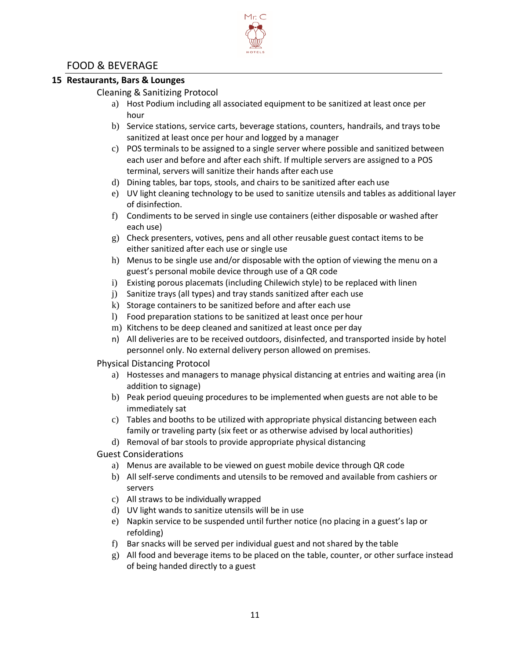# FOOD & BEVERAGE

# **15 Restaurants, Bars & Lounges**

#### Cleaning & Sanitizing Protocol

a) Host Podium including all associated equipment to be sanitized at least once per hour

Mr. C

- b) Service stations, service carts, beverage stations, counters, handrails, and trays tobe sanitized at least once per hour and logged by a manager
- c) POS terminals to be assigned to a single server where possible and sanitized between each user and before and after each shift. If multiple servers are assigned to a POS terminal, servers will sanitize their hands after each use
- d) Dining tables, bar tops, stools, and chairs to be sanitized after each use
- e) UV light cleaning technology to be used to sanitize utensils and tables as additional layer of disinfection.
- f) Condiments to be served in single use containers (either disposable or washed after each use)
- g) Check presenters, votives, pens and all other reusable guest contact items to be either sanitized after each use or single use
- h) Menus to be single use and/or disposable with the option of viewing the menu on a guest's personal mobile device through use of a QR code
- i) Existing porous placemats (including Chilewich style) to be replaced with linen
- j) Sanitize trays (all types) and tray stands sanitized after each use
- k) Storage containers to be sanitized before and after each use
- l) Food preparation stations to be sanitized at least once per hour
- m) Kitchens to be deep cleaned and sanitized at least once per day
- n) All deliveries are to be received outdoors, disinfected, and transported inside by hotel personnel only. No external delivery person allowed on premises.

#### Physical Distancing Protocol

- a) Hostesses and managers to manage physical distancing at entries and waiting area (in addition to signage)
- b) Peak period queuing procedures to be implemented when guests are not able to be immediately sat
- c) Tables and booths to be utilized with appropriate physical distancing between each family or traveling party (six feet or as otherwise advised by local authorities)
- d) Removal of bar stools to provide appropriate physical distancing
- Guest Considerations
	- a) Menus are available to be viewed on guest mobile device through QR code
	- b) All self-serve condiments and utensils to be removed and available from cashiers or servers
	- c) All straws to be individually wrapped
	- d) UV light wands to sanitize utensils will be in use
	- e) Napkin service to be suspended until further notice (no placing in a guest's lap or refolding)
	- f) Bar snacks will be served per individual guest and not shared by the table
	- g) All food and beverage items to be placed on the table, counter, or other surface instead of being handed directly to a guest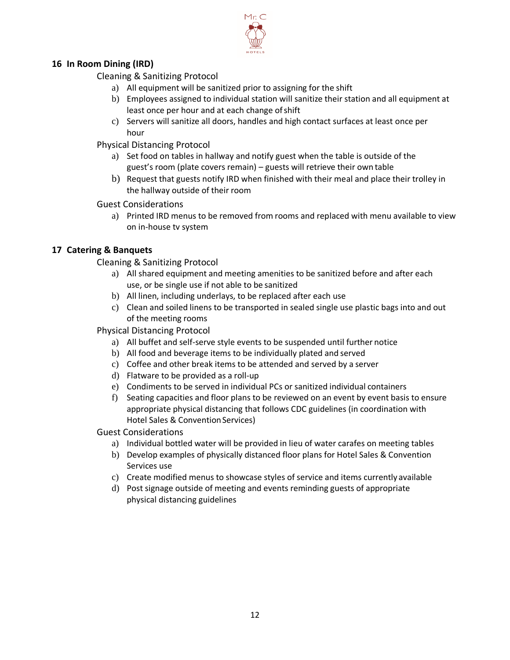

# **16 In Room Dining (IRD)**

Cleaning & Sanitizing Protocol

- a) All equipment will be sanitized prior to assigning for the shift
- b) Employees assigned to individual station will sanitize their station and all equipment at least once per hour and at each change of shift
- c) Servers will sanitize all doors, handles and high contact surfaces at least once per hour

Physical Distancing Protocol

- a) Set food on tables in hallway and notify guest when the table is outside of the guest's room (plate covers remain) – guests will retrieve their own table
- b) Request that guests notify IRD when finished with their meal and place their trolley in the hallway outside of their room

Guest Considerations

a) Printed IRD menus to be removed from rooms and replaced with menu available to view on in-house tv system

# **17 Catering & Banquets**

Cleaning & Sanitizing Protocol

- a) All shared equipment and meeting amenities to be sanitized before and after each use, or be single use if not able to be sanitized
- b) All linen, including underlays, to be replaced after each use
- c) Clean and soiled linens to be transported in sealed single use plastic bags into and out of the meeting rooms

# Physical Distancing Protocol

- a) All buffet and self-serve style events to be suspended until further notice
- b) All food and beverage items to be individually plated and served
- c) Coffee and other break items to be attended and served by a server
- d) Flatware to be provided as a roll-up
- e) Condiments to be served in individual PCs or sanitized individual containers
- f) Seating capacities and floor plans to be reviewed on an event by event basis to ensure appropriate physical distancing that follows CDC guidelines (in coordination with Hotel Sales & Convention Services)

Guest Considerations

- a) Individual bottled water will be provided in lieu of water carafes on meeting tables
- b) Develop examples of physically distanced floor plans for Hotel Sales & Convention Services use
- c) Create modified menus to showcase styles of service and items currently available
- d) Post signage outside of meeting and events reminding guests of appropriate physical distancing guidelines